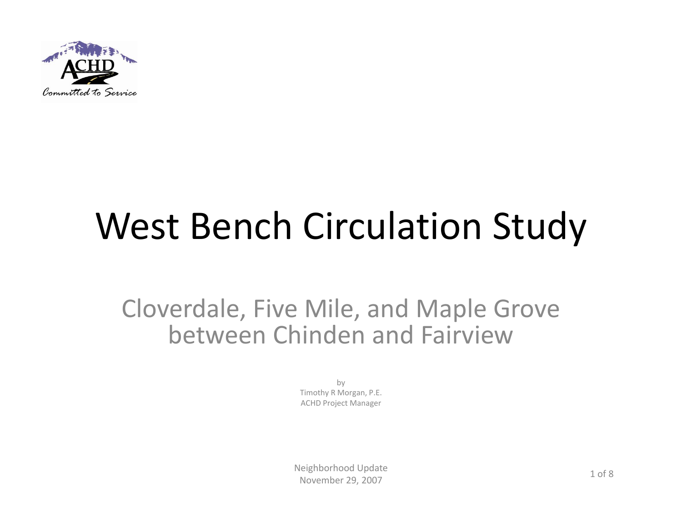

# West Bench Circulation Study

#### Cloverdale, Five Mile, and Maple Grove between Chinden and Fairview

by Timothy R Morgan, P.E. ACHD Project Manager

Neighborhood Update November 29, 2007 29, 2007 1 of 8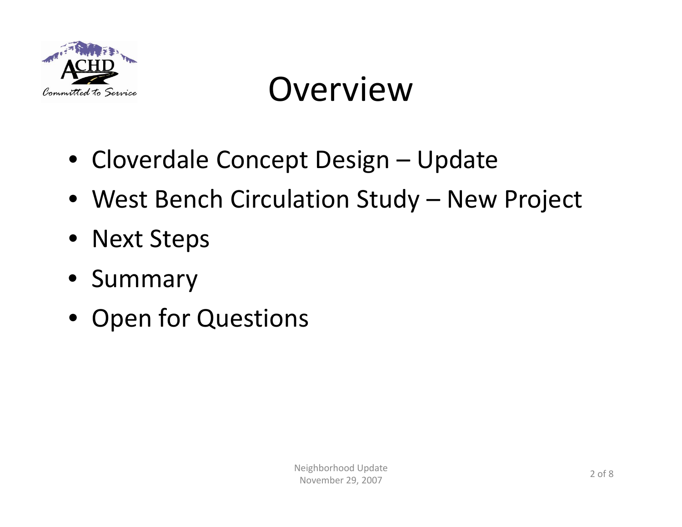

#### Overview

- Cloverdale Concept Design Update
- West Bench Circulation Study New Project
- Next Steps
- Summary
- Open for Questions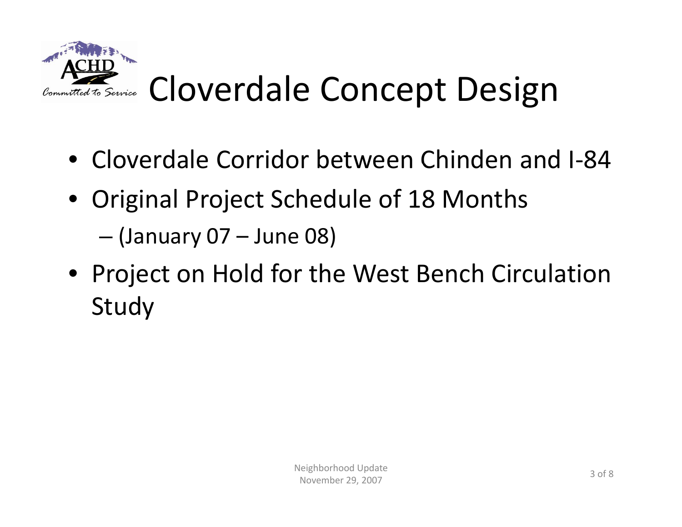

## Cloverdale Concept Design

- Cloverdale Corridor between Chinden and I‐84
- Original Project Schedule of 18 Months
	- (January 07 June 08)
- Project on Hold for the West Bench Circulation Study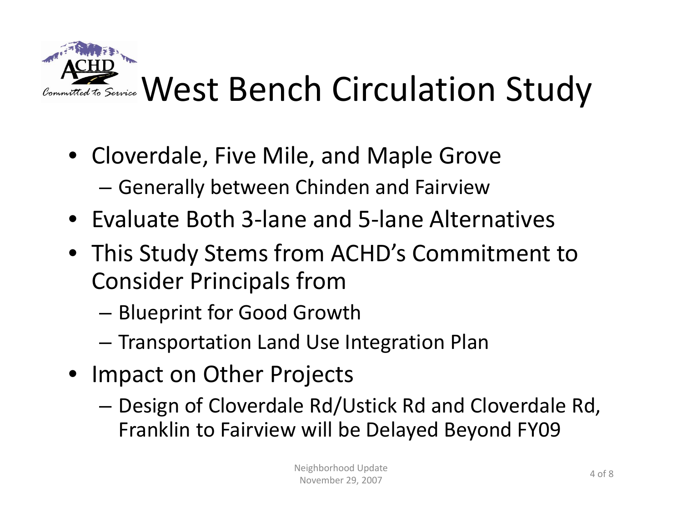

- Cloverdale, Five Mile, and Maple Grove
	- –Generally between Chinden and Fairview
- Evaluate Both 3‐lane and 5‐lane Alternatives
- This Study Stems from ACHD's Commitment to Consider Principals from
	- – $-$  Blueprint for Good Growth
	- – $-$  Transportation Land Use Integration Plan
- Impact on Other Projects
	- – Design of Cloverdale Rd/Ustick Rd and Cloverdale Rd, Franklin to Fairview will be Delayed Beyond FY09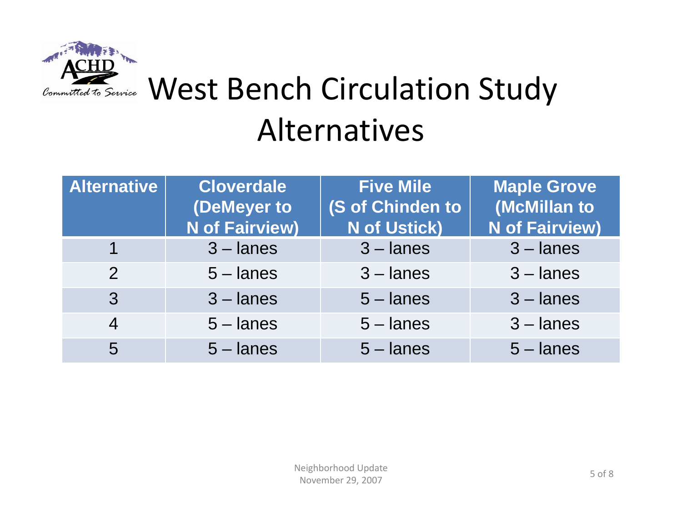

#### West Bench Circulation Study Alternatives

| <b>Alternative</b> | <b>Cloverdale</b><br>(DeMeyer to | <b>Five Mile</b><br>(S of Chinden to | <b>Maple Grove</b><br>(McMillan to |
|--------------------|----------------------------------|--------------------------------------|------------------------------------|
|                    | <b>N</b> of Fairview)            | <b>N</b> of Ustick)                  | <b>N</b> of Fairview)              |
| 1                  | $3$ – lanes                      | $3$ – lanes                          | $3$ – lanes                        |
| $\overline{2}$     | $5 -$ lanes                      | $3$ – lanes                          | $3$ – lanes                        |
| 3                  | $3$ – lanes                      | $5 -$ lanes                          | $3$ – lanes                        |
| $\overline{4}$     | $5 -$ lanes                      | $5 -$ lanes                          | $3$ – lanes                        |
| 5                  | $5 -$ lanes                      | $5 -$ lanes                          | $5 -$ lanes                        |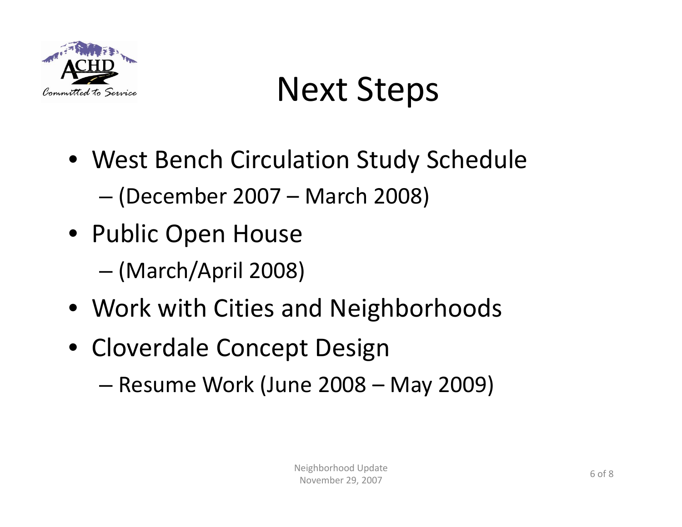

### Next Steps

- West Bench Circulation Study Schedule –(December 2007 – March 2008)
- Public Open House
	- –(March/April 2008)
- Work with Cities and Neighborhoods
- Cloverdale Concept Design
	- –Resume Work (June 2008 – May 2009)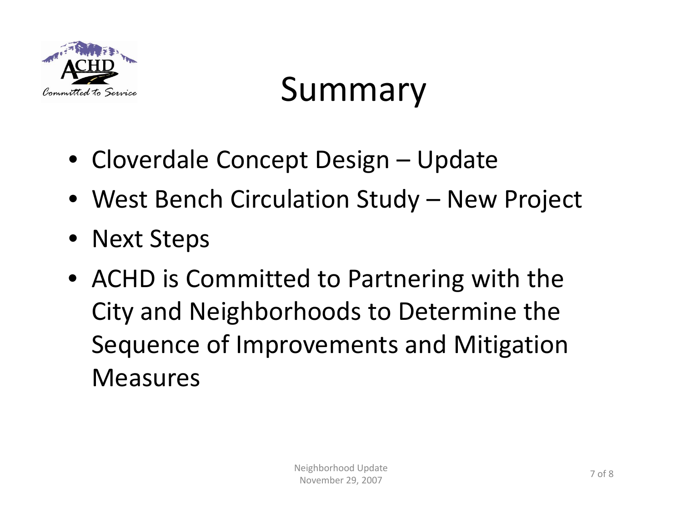

### Summary

- Cloverdale Concept Design Update
- West Bench Circulation Study New Project
- Next Steps
- ACHD is Committed to Partnering with the City and Neighborhoods to Determine the Sequence of Improvements and Mitigation Measures